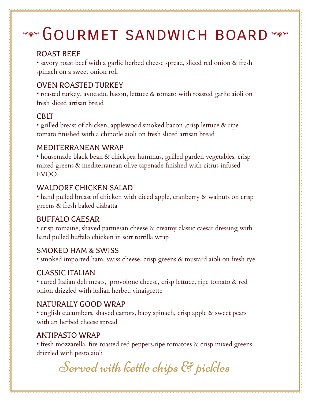# **GOURMET SANDWICH BOARD**

## ROAST BEEF

• savory roast beef with a garlic herbed cheese spread, sliced red onion & fresh spinach on a sweet onion roll

## OVEN ROASTED TURKEY

• roasted turkey, avocado, bacon, lettuce & tomato with roasted garlic aioli on fresh sliced artisan bread

#### **CBIT**

• grilled breast of chicken, applewood smoked bacon ,crisp lettuce & ripe tomato finished with a chipotle aioli on fresh sliced artisan bread

#### MEDITERRANEAN WRAP

• housemade black bean & chickpea hummus, grilled garden vegetables, crisp mixed greens & mediterranean olive tapenade finished with citrus infused EVOO

#### WALDORF CHICKEN SALAD

• hand pulled breast of chicken with diced apple, cranberry & walnuts on crisp greens & fresh baked ciabatta

#### BUFFALO CAESAR

• crisp romaine, shaved parmesan cheese & creamy classic caesar dressing with hand pulled buffalo chicken in sort tortilla wrap

#### SMOKED HAM & SWISS

• smoked imported ham, swiss cheese, crisp greens & mustard aioli on fresh rye

#### CLASSIC ITALIAN

• cured Italian deli meats, provolone cheese, crisp lettuce, ripe tomato & red onion drizzled with italian herbed vinaigrette

#### NATURALLY GOOD WRAP

• english cucumbers, shaved carrots, baby spinach, crisp apple & sweet pears with an herbed cheese spread

#### ANTIPASTO WRAP

• fresh mozzarella, fire roasted red peppers,ripe tomatoes & crisp mixed greens drizzled with pesto aioli

Served with kettle chips & pickles